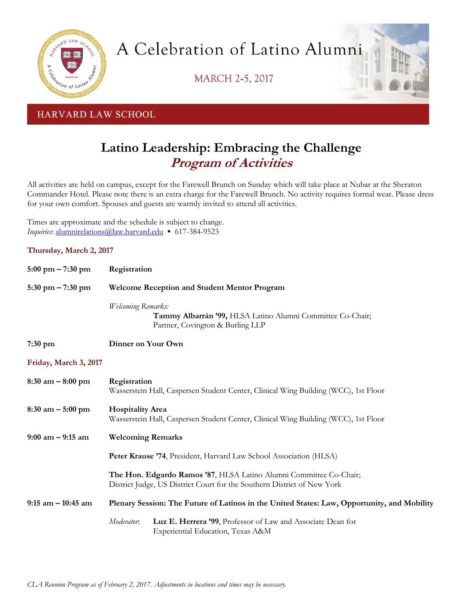

A Celebration of Latino Alumni

**MARCH 2-5, 2017** 



HARVARD LAW SCHOOL

## **Latino Leadership: Embracing the Challenge Program of Activities**

All activities are held on campus, except for the Farewell Brunch on Sunday which will take place at Nubar at the Sheraton Commander Hotel. Please note there is an extra charge for the Farewell Brunch. No activity requires formal wear. Please dress for your own comfort. Spouses and guests are warmly invited to attend all activities.

Times are approximate and the schedule is subject to change. *Inquiries*: [alumnirelations@law.harvard.edu](mailto:alumnirelations@law.harvard.edu) ▪ 617-384-9523

## **Thursday, March 2, 2017**

| $5:00 \text{ pm} - 7:30 \text{ pm}$ | Registration                                                                                                                                  |                                                                                                  |
|-------------------------------------|-----------------------------------------------------------------------------------------------------------------------------------------------|--------------------------------------------------------------------------------------------------|
| $5:30$ pm $-7:30$ pm                | <b>Welcome Reception and Student Mentor Program</b>                                                                                           |                                                                                                  |
|                                     | Welcoming Remarks:                                                                                                                            | Tammy Albarrán '99, HLSA Latino Alumni Committee Co-Chair;<br>Partner, Covington & Burling LLP   |
| $7:30$ pm                           | Dinner on Your Own                                                                                                                            |                                                                                                  |
| Friday, March 3, 2017               |                                                                                                                                               |                                                                                                  |
| $8:30$ am $-8:00$ pm                | Registration                                                                                                                                  | Wasserstein Hall, Caspersen Student Center, Clinical Wing Building (WCC), 1st Floor              |
| $8:30$ am $-5:00$ pm                | <b>Hospitality Area</b><br>Wasserstein Hall, Caspersen Student Center, Clinical Wing Building (WCC), 1st Floor                                |                                                                                                  |
| $9:00$ am $-9:15$ am                | <b>Welcoming Remarks</b>                                                                                                                      |                                                                                                  |
|                                     | Peter Krause '74, President, Harvard Law School Association (HLSA)                                                                            |                                                                                                  |
|                                     | The Hon. Edgardo Ramos '87, HLSA Latino Alumni Committee Co-Chair;<br>District Judge, US District Court for the Southern District of New York |                                                                                                  |
| $9:15$ am $-10:45$ am               | Plenary Session: The Future of Latinos in the United States: Law, Opportunity, and Mobility                                                   |                                                                                                  |
|                                     | Moderator.                                                                                                                                    | Luz E. Herrera '99, Professor of Law and Associate Dean for<br>Experiential Education, Texas A&M |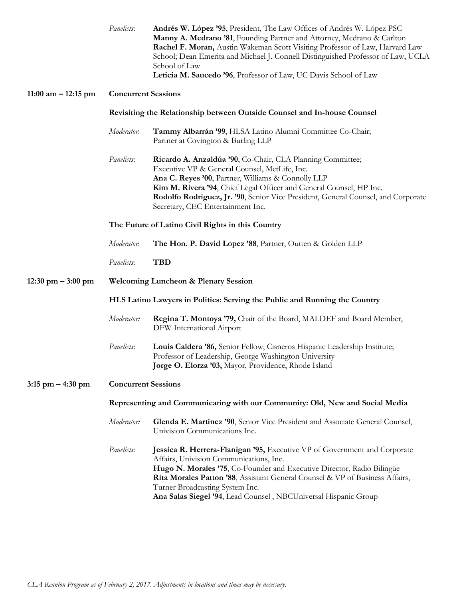|                                      | Panelists:                                                                   | Andrés W. López '95, President, The Law Offices of Andrés W. López PSC<br>Manny A. Medrano '81, Founding Partner and Attorney, Medrano & Carlton<br>Rachel F. Moran, Austin Wakeman Scott Visiting Professor of Law, Harvard Law<br>School; Dean Emerita and Michael J. Connell Distinguished Professor of Law, UCLA<br>School of Law<br>Leticia M. Saucedo '96, Professor of Law, UC Davis School of Law |  |  |
|--------------------------------------|------------------------------------------------------------------------------|-----------------------------------------------------------------------------------------------------------------------------------------------------------------------------------------------------------------------------------------------------------------------------------------------------------------------------------------------------------------------------------------------------------|--|--|
| 11:00 am $-$ 12:15 pm                | <b>Concurrent Sessions</b>                                                   |                                                                                                                                                                                                                                                                                                                                                                                                           |  |  |
|                                      | Revisiting the Relationship between Outside Counsel and In-house Counsel     |                                                                                                                                                                                                                                                                                                                                                                                                           |  |  |
|                                      | Moderator.                                                                   | Tammy Albarrán '99, HLSA Latino Alumni Committee Co-Chair;<br>Partner at Covington & Burling LLP                                                                                                                                                                                                                                                                                                          |  |  |
|                                      | Panelists:                                                                   | Ricardo A. Anzaldúa '90, Co-Chair, CLA Planning Committee;<br>Executive VP & General Counsel, MetLife, Inc.<br>Ana C. Reyes '00, Partner, Williams & Connolly LLP<br>Kim M. Rivera '94, Chief Legal Officer and General Counsel, HP Inc.<br>Rodolfo Rodriguez, Jr. '90, Senior Vice President, General Counsel, and Corporate<br>Secretary, CEC Entertainment Inc.                                        |  |  |
|                                      | The Future of Latino Civil Rights in this Country                            |                                                                                                                                                                                                                                                                                                                                                                                                           |  |  |
|                                      | Moderator.                                                                   | The Hon. P. David Lopez '88, Partner, Outten & Golden LLP                                                                                                                                                                                                                                                                                                                                                 |  |  |
|                                      | Panelists:                                                                   | <b>TBD</b>                                                                                                                                                                                                                                                                                                                                                                                                |  |  |
| $12:30 \text{ pm} - 3:00 \text{ pm}$ | <b>Welcoming Luncheon &amp; Plenary Session</b>                              |                                                                                                                                                                                                                                                                                                                                                                                                           |  |  |
|                                      | HLS Latino Lawyers in Politics: Serving the Public and Running the Country   |                                                                                                                                                                                                                                                                                                                                                                                                           |  |  |
|                                      | Moderator:                                                                   | Regina T. Montoya '79, Chair of the Board, MALDEF and Board Member,<br>DFW International Airport                                                                                                                                                                                                                                                                                                          |  |  |
|                                      | Panelists:                                                                   | Louis Caldera '86, Senior Fellow, Cisneros Hispanic Leadership Institute;<br>Professor of Leadership, George Washington University<br>Jorge O. Elorza '03, Mayor, Providence, Rhode Island                                                                                                                                                                                                                |  |  |
| $3:15$ pm $-4:30$ pm                 | <b>Concurrent Sessions</b>                                                   |                                                                                                                                                                                                                                                                                                                                                                                                           |  |  |
|                                      | Representing and Communicating with our Community: Old, New and Social Media |                                                                                                                                                                                                                                                                                                                                                                                                           |  |  |
|                                      | Moderator:                                                                   | Glenda E. Martinez '90, Senior Vice President and Associate General Counsel,<br>Univision Communications Inc.                                                                                                                                                                                                                                                                                             |  |  |
|                                      | Panelists:                                                                   | Jessica R. Herrera-Flanigan '95, Executive VP of Government and Corporate<br>Affairs, Univision Communications, Inc.<br>Hugo N. Morales '75, Co-Founder and Executive Director, Radio Bilingüe<br>Rita Morales Patton '88, Assistant General Counsel & VP of Business Affairs,<br>Turner Broadcasting System Inc.<br>Ana Salas Siegel '94, Lead Counsel, NBCUniversal Hispanic Group                      |  |  |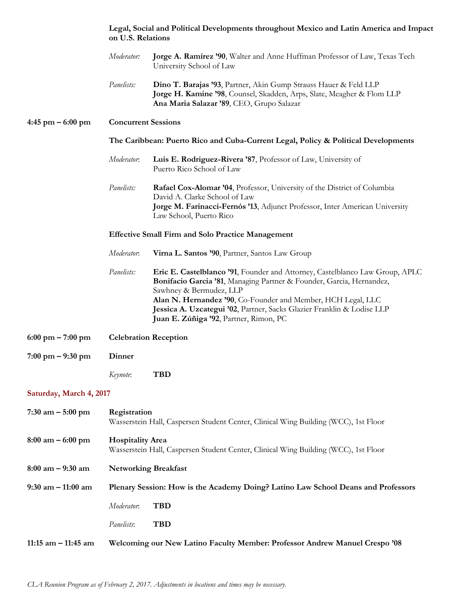|                                     | on U.S. Relations                                                                                              | Legal, Social and Political Developments throughout Mexico and Latin America and Impact                                                                                                                                                                                                                                                                             |  |  |
|-------------------------------------|----------------------------------------------------------------------------------------------------------------|---------------------------------------------------------------------------------------------------------------------------------------------------------------------------------------------------------------------------------------------------------------------------------------------------------------------------------------------------------------------|--|--|
|                                     | Moderator:                                                                                                     | Jorge A. Ramírez '90, Walter and Anne Huffman Professor of Law, Texas Tech<br>University School of Law                                                                                                                                                                                                                                                              |  |  |
|                                     | Panelists:                                                                                                     | Dino T. Barajas '93, Partner, Akin Gump Strauss Hauer & Feld LLP<br>Jorge H. Kamine '98, Counsel, Skadden, Arps, Slate, Meagher & Flom LLP<br>Ana Maria Salazar '89, CEO, Grupo Salazar                                                                                                                                                                             |  |  |
| $4:45$ pm $-6:00$ pm                |                                                                                                                | <b>Concurrent Sessions</b>                                                                                                                                                                                                                                                                                                                                          |  |  |
|                                     | The Caribbean: Puerto Rico and Cuba-Current Legal, Policy & Political Developments                             |                                                                                                                                                                                                                                                                                                                                                                     |  |  |
|                                     | Moderator.                                                                                                     | Luis E. Rodriguez-Rivera '87, Professor of Law, University of<br>Puerto Rico School of Law                                                                                                                                                                                                                                                                          |  |  |
|                                     | Panelists:                                                                                                     | Rafael Cox-Alomar '04, Professor, University of the District of Columbia<br>David A. Clarke School of Law<br>Jorge M. Farinacci-Fernós '13, Adjunct Professor, Inter American University<br>Law School, Puerto Rico                                                                                                                                                 |  |  |
|                                     | <b>Effective Small Firm and Solo Practice Management</b>                                                       |                                                                                                                                                                                                                                                                                                                                                                     |  |  |
|                                     | Moderator.                                                                                                     | Virna L. Santos '90, Partner, Santos Law Group                                                                                                                                                                                                                                                                                                                      |  |  |
|                                     | Panelists:                                                                                                     | Eric E. Castelblanco '91, Founder and Attorney, Castelblanco Law Group, APLC<br>Bonifacio Garcia '81, Managing Partner & Founder, Garcia, Hernandez,<br>Sawhney & Bermudez, LLP<br>Alan N. Hernandez '90, Co-Founder and Member, HCH Legal, LLC<br>Jessica A. Uzcategui '02, Partner, Sacks Glazier Franklin & Lodise LLP<br>Juan E. Zúñiga '92, Partner, Rimon, PC |  |  |
| $6:00 \text{ pm} - 7:00 \text{ pm}$ |                                                                                                                | <b>Celebration Reception</b>                                                                                                                                                                                                                                                                                                                                        |  |  |
| $7:00 \text{ pm} - 9:30 \text{ pm}$ | <b>Dinner</b>                                                                                                  |                                                                                                                                                                                                                                                                                                                                                                     |  |  |
|                                     | Keynote:                                                                                                       | <b>TBD</b>                                                                                                                                                                                                                                                                                                                                                          |  |  |
| Saturday, March 4, 2017             |                                                                                                                |                                                                                                                                                                                                                                                                                                                                                                     |  |  |
| 7:30 am $-$ 5:00 pm                 | Registration<br>Wasserstein Hall, Caspersen Student Center, Clinical Wing Building (WCC), 1st Floor            |                                                                                                                                                                                                                                                                                                                                                                     |  |  |
| $8:00 \text{ am} - 6:00 \text{ pm}$ | <b>Hospitality Area</b><br>Wasserstein Hall, Caspersen Student Center, Clinical Wing Building (WCC), 1st Floor |                                                                                                                                                                                                                                                                                                                                                                     |  |  |
| 8:00 am – 9:30 am                   | <b>Networking Breakfast</b>                                                                                    |                                                                                                                                                                                                                                                                                                                                                                     |  |  |
| 9:30 am – 11:00 am                  | Plenary Session: How is the Academy Doing? Latino Law School Deans and Professors                              |                                                                                                                                                                                                                                                                                                                                                                     |  |  |
|                                     | Moderator.                                                                                                     | <b>TBD</b>                                                                                                                                                                                                                                                                                                                                                          |  |  |
|                                     | Panelists:                                                                                                     | <b>TBD</b>                                                                                                                                                                                                                                                                                                                                                          |  |  |
| 11:15 am – 11:45 am                 |                                                                                                                | Welcoming our New Latino Faculty Member: Professor Andrew Manuel Crespo '08                                                                                                                                                                                                                                                                                         |  |  |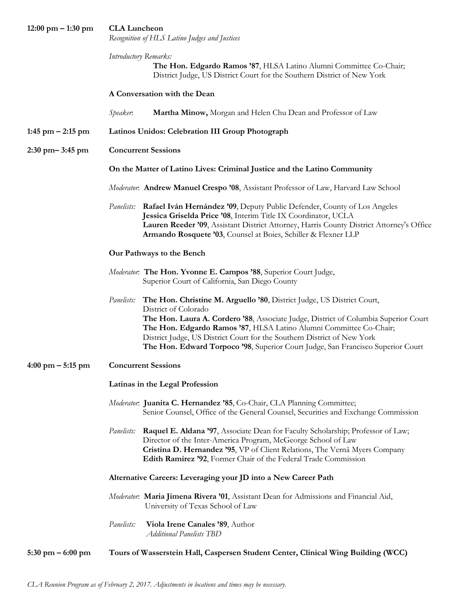| $12:00 \text{ pm} - 1:30 \text{ pm}$ | <b>CLA</b> Luncheon<br>Recognition of HLS Latino Judges and Justices                                                                                                                                                                                                                                                                                                                                                                           |  |  |  |
|--------------------------------------|------------------------------------------------------------------------------------------------------------------------------------------------------------------------------------------------------------------------------------------------------------------------------------------------------------------------------------------------------------------------------------------------------------------------------------------------|--|--|--|
|                                      | Introductory Remarks:<br>The Hon. Edgardo Ramos '87, HLSA Latino Alumni Committee Co-Chair;<br>District Judge, US District Court for the Southern District of New York                                                                                                                                                                                                                                                                         |  |  |  |
|                                      | A Conversation with the Dean                                                                                                                                                                                                                                                                                                                                                                                                                   |  |  |  |
|                                      | Speaker.<br>Martha Minow, Morgan and Helen Chu Dean and Professor of Law                                                                                                                                                                                                                                                                                                                                                                       |  |  |  |
| $1:45$ pm $-2:15$ pm                 | Latinos Unidos: Celebration III Group Photograph                                                                                                                                                                                                                                                                                                                                                                                               |  |  |  |
| $2:30$ pm $-3:45$ pm                 | <b>Concurrent Sessions</b>                                                                                                                                                                                                                                                                                                                                                                                                                     |  |  |  |
|                                      | On the Matter of Latino Lives: Criminal Justice and the Latino Community                                                                                                                                                                                                                                                                                                                                                                       |  |  |  |
|                                      | Moderator: Andrew Manuel Crespo '08, Assistant Professor of Law, Harvard Law School                                                                                                                                                                                                                                                                                                                                                            |  |  |  |
|                                      | Panelists: Rafael Iván Hernández '09, Deputy Public Defender, County of Los Angeles<br>Jessica Griselda Price '08, Interim Title IX Coordinator, UCLA<br>Lauren Reeder '09, Assistant District Attorney, Harris County District Attorney's Office<br>Armando Rosquete '03, Counsel at Boies, Schiller & Flexner LLP                                                                                                                            |  |  |  |
|                                      | Our Pathways to the Bench                                                                                                                                                                                                                                                                                                                                                                                                                      |  |  |  |
|                                      | Moderator: The Hon. Yvonne E. Campos '88, Superior Court Judge,<br>Superior Court of California, San Diego County                                                                                                                                                                                                                                                                                                                              |  |  |  |
|                                      | The Hon. Christine M. Arguello '80, District Judge, US District Court,<br><i>Panelists:</i><br>District of Colorado<br>The Hon. Laura A. Cordero '88, Associate Judge, District of Columbia Superior Court<br>The Hon. Edgardo Ramos '87, HLSA Latino Alumni Committee Co-Chair;<br>District Judge, US District Court for the Southern District of New York<br>The Hon. Edward Torpoco '98, Superior Court Judge, San Francisco Superior Court |  |  |  |
| $4:00 \text{ pm} - 5:15 \text{ pm}$  | <b>Concurrent Sessions</b>                                                                                                                                                                                                                                                                                                                                                                                                                     |  |  |  |
|                                      | Latinas in the Legal Profession                                                                                                                                                                                                                                                                                                                                                                                                                |  |  |  |
|                                      | Moderator: Juanita C. Hernandez '85, Co-Chair, CLA Planning Committee;<br>Senior Counsel, Office of the General Counsel, Securities and Exchange Commission                                                                                                                                                                                                                                                                                    |  |  |  |
|                                      | Raquel E. Aldana '97, Associate Dean for Faculty Scholarship; Professor of Law;<br><i>Panelists:</i><br>Director of the Inter-America Program, McGeorge School of Law<br>Cristina D. Hernandez '95, VP of Client Relations, The Vernā Myers Company<br>Edith Ramirez '92, Former Chair of the Federal Trade Commission                                                                                                                         |  |  |  |
|                                      | Alternative Careers: Leveraging your JD into a New Career Path                                                                                                                                                                                                                                                                                                                                                                                 |  |  |  |
|                                      | Moderator: Maria Jimena Rivera '01, Assistant Dean for Admissions and Financial Aid,<br>University of Texas School of Law                                                                                                                                                                                                                                                                                                                      |  |  |  |
|                                      | Panelists:<br>Viola Irene Canales '89, Author<br><b>Additional Panelists TBD</b>                                                                                                                                                                                                                                                                                                                                                               |  |  |  |
| $5:30$ pm $-6:00$ pm                 | Tours of Wasserstein Hall, Caspersen Student Center, Clinical Wing Building (WCC)                                                                                                                                                                                                                                                                                                                                                              |  |  |  |